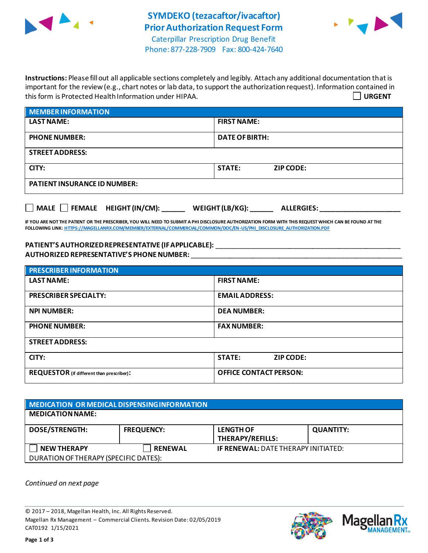



Phone: 877-228-7909 Fax: 800-424-7640

**Instructions:** Please fill out all applicable sections completely and legibly. Attach any additional documentation that is important for the review (e.g., chart notes or lab data, to support the authorization request). Information contained in this form is Protected Health Information under HIPAA. **URGENT**

| <b>MEMBER INFORMATION</b>           |                                   |  |
|-------------------------------------|-----------------------------------|--|
| <b>LAST NAME:</b>                   | <b>FIRST NAME:</b>                |  |
| <b>PHONE NUMBER:</b>                | <b>DATE OF BIRTH:</b>             |  |
| <b>STREET ADDRESS:</b>              |                                   |  |
| CITY:                               | <b>STATE:</b><br><b>ZIP CODE:</b> |  |
| <b>PATIENT INSURANCE ID NUMBER:</b> |                                   |  |
|                                     |                                   |  |

**IF YOU ARE NOT THE PATIENT OR THE PRESCRIBER, YOU WILL NEED TO SUBMIT A PHI DISCLOSURE AUTHORIZATION FORM WITH THIS REQUEST WHICH CAN BE FOUND AT THE FOLLOWING LINK[: HTTPS://MAGELLANRX.COM/MEMBER/EXTERNAL/COMMERCIAL/COMMON/DOC/EN-US/PHI\\_DISCLOSURE\\_AUTHORIZATION.PDF](https://magellanrx.com/member/external/commercial/common/doc/en-us/PHI_Disclosure_Authorization.pdf)**

**MALE FEMALE HEIGHT (IN/CM): \_\_\_\_\_\_ WEIGHT (LB/KG): \_\_\_\_\_\_ ALLERGIES: \_\_\_\_\_\_\_\_\_\_\_\_\_\_\_\_\_\_\_\_\_**

PATIENT'S AUTHORIZED REPRESENTATIVE (IF APPLICABLE): \_\_\_\_\_\_\_\_\_\_\_\_\_\_\_\_\_\_\_\_\_\_\_\_\_\_\_ **AUTHORIZED REPRESENTATIVE'S PHONE NUMBER:** \_\_\_\_\_\_\_\_\_\_\_\_\_\_\_\_\_\_\_\_\_\_\_\_\_\_\_\_\_\_\_\_\_\_\_\_\_\_\_\_\_\_\_\_\_\_\_\_\_\_\_\_\_\_\_

| <b>PRESCRIBER INFORMATION</b>                    |                               |  |  |
|--------------------------------------------------|-------------------------------|--|--|
| <b>LAST NAME:</b>                                | <b>FIRST NAME:</b>            |  |  |
| <b>PRESCRIBER SPECIALTY:</b>                     | <b>EMAIL ADDRESS:</b>         |  |  |
| <b>NPI NUMBER:</b>                               | <b>DEA NUMBER:</b>            |  |  |
| <b>PHONE NUMBER:</b>                             | <b>FAX NUMBER:</b>            |  |  |
| <b>STREET ADDRESS:</b>                           |                               |  |  |
| CITY:                                            | <b>STATE:</b><br>ZIP CODE:    |  |  |
| <b>REQUESTOR</b> (if different than prescriber): | <b>OFFICE CONTACT PERSON:</b> |  |  |

| <b>MEDICATION OR MEDICAL DISPENSING INFORMATION</b> |                   |                                            |                  |  |  |
|-----------------------------------------------------|-------------------|--------------------------------------------|------------------|--|--|
| <b>MEDICATION NAME:</b>                             |                   |                                            |                  |  |  |
| <b>DOSE/STRENGTH:</b>                               | <b>FREQUENCY:</b> | <b>LENGTH OF</b><br>THERAPY/REFILLS:       | <b>QUANTITY:</b> |  |  |
| <b>NEW THERAPY</b>                                  | <b>RENEWAL</b>    | <b>IF RENEWAL: DATE THERAPY INITIATED:</b> |                  |  |  |
| DURATION OF THERAPY (SPECIFIC DATES):               |                   |                                            |                  |  |  |

*Continued on next page*

© 2017 – 2018, Magellan Health, Inc. All Rights Reserved. Magellan Rx Management – Commercial Clients. Revision Date: 02/05/2019 CAT0192 1/15/2021



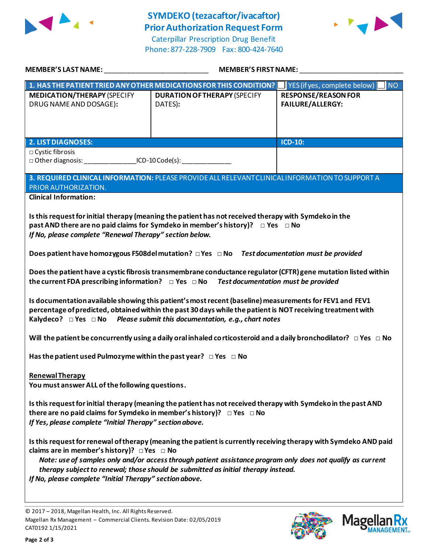

## **SYMDEKO (tezacaftor/ivacaftor) Prior Authorization Request Form**

Caterpillar Prescription Drug Benefit Phone: 877-228-7909 Fax: 800-424-7640



| MEMBER'S LAST NAME: NAME AND A SERIES AND A SERIES OF STREET AND A STREET AND A STREET AND A STREET AND A STRE                                                                                                                                                                                                                                                                                                                           | <b>MEMBER'S FIRST NAME:</b>                                                                       |                                                       |  |  |  |
|------------------------------------------------------------------------------------------------------------------------------------------------------------------------------------------------------------------------------------------------------------------------------------------------------------------------------------------------------------------------------------------------------------------------------------------|---------------------------------------------------------------------------------------------------|-------------------------------------------------------|--|--|--|
|                                                                                                                                                                                                                                                                                                                                                                                                                                          | 1. HAS THE PATIENT TRIED ANY OTHER MEDICATIONS FOR THIS CONDITION?   YES (if yes, complete below) | NO <sub>1</sub>                                       |  |  |  |
| <b>MEDICATION/THERAPY (SPECIFY</b><br>DRUG NAME AND DOSAGE):                                                                                                                                                                                                                                                                                                                                                                             | <b>DURATION OF THERAPY (SPECIFY</b><br>DATES):                                                    | <b>RESPONSE/REASON FOR</b><br><b>FAILURE/ALLERGY:</b> |  |  |  |
| <b>2. LIST DIAGNOSES:</b>                                                                                                                                                                                                                                                                                                                                                                                                                |                                                                                                   | <b>ICD-10:</b>                                        |  |  |  |
| □ Cystic fibrosis                                                                                                                                                                                                                                                                                                                                                                                                                        |                                                                                                   |                                                       |  |  |  |
|                                                                                                                                                                                                                                                                                                                                                                                                                                          | □ Other diagnosis: ___________________ICD-10 Code(s): _________________________                   |                                                       |  |  |  |
| 3. REQUIRED CLINICAL INFORMATION: PLEASE PROVIDE ALL RELEVANT CLINICAL INFORMATION TO SUPPORT A<br>PRIOR AUTHORIZATION.                                                                                                                                                                                                                                                                                                                  |                                                                                                   |                                                       |  |  |  |
| <b>Clinical Information:</b>                                                                                                                                                                                                                                                                                                                                                                                                             |                                                                                                   |                                                       |  |  |  |
| Is this request for initial therapy (meaning the patient has not received therapy with Symdeko in the<br>past AND there are no paid claims for Symdeko in member's history)? $\Box$ Yes $\Box$ No<br>If No, please complete "Renewal Therapy" section below.                                                                                                                                                                             |                                                                                                   |                                                       |  |  |  |
| Does patient have homozygous F508del mutation? □ Yes □ No Test documentation must be provided                                                                                                                                                                                                                                                                                                                                            |                                                                                                   |                                                       |  |  |  |
| Does the patient have a cystic fibrosis transmembrane conductance regulator (CFTR) gene mutation listed within<br>the current FDA prescribing information? $\Box$ Yes $\Box$ No Test documentation must be provided                                                                                                                                                                                                                      |                                                                                                   |                                                       |  |  |  |
| Is documentation available showing this patient's most recent (baseline) measurements for FEV1 and FEV1<br>percentage of predicted, obtained within the past 30 days while the patient is NOT receiving treatment with<br>Kalydeco? $\Box$ Yes $\Box$ No Please submit this documentation, e.g., chart notes                                                                                                                             |                                                                                                   |                                                       |  |  |  |
| Will the patient be concurrently using a daily oral inhaled corticosteroid and a daily bronchodilator? $\Box$ Yes $\Box$ No                                                                                                                                                                                                                                                                                                              |                                                                                                   |                                                       |  |  |  |
| Has the patient used Pulmozyme within the past year? $\Box$ Yes $\Box$ No                                                                                                                                                                                                                                                                                                                                                                |                                                                                                   |                                                       |  |  |  |
| <b>Renewal Therapy</b><br>You must answer ALL of the following questions.                                                                                                                                                                                                                                                                                                                                                                |                                                                                                   |                                                       |  |  |  |
| Is this request for initial therapy (meaning the patient has not received therapy with Symdeko in the past AND<br>there are no paid claims for Symdeko in member's history)? $\Box$ Yes $\Box$ No<br>If Yes, please complete "Initial Therapy" section above.                                                                                                                                                                            |                                                                                                   |                                                       |  |  |  |
| Is this request for renewal of therapy (meaning the patient is currently receiving therapy with Symdeko AND paid<br>claims are in member's history)? $\Box$ Yes $\Box$ No<br>Note: use of samples only and/or access through patient assistance program only does not qualify as current<br>therapy subject to renewal; those should be submitted as initial therapy instead.<br>If No, please complete "Initial Therapy" section above. |                                                                                                   |                                                       |  |  |  |

© 2017 – 2018, Magellan Health, Inc. All Rights Reserved. Magellan Rx Management – Commercial Clients. Revision Date: 02/05/2019 CAT0192 1/15/2021